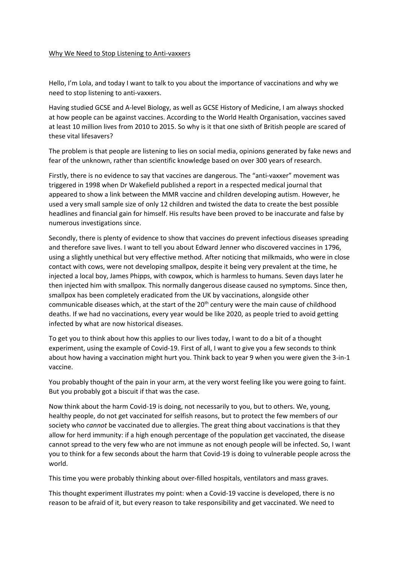## Why We Need to Stop Listening to Anti-vaxxers

Hello, I'm Lola, and today I want to talk to you about the importance of vaccinations and why we need to stop listening to anti-vaxxers.

Having studied GCSE and A-level Biology, as well as GCSE History of Medicine, I am always shocked at how people can be against vaccines. According to the World Health Organisation, vaccines saved at least 10 million lives from 2010 to 2015. So why is it that one sixth of British people are scared of these vital lifesavers?

The problem is that people are listening to lies on social media, opinions generated by fake news and fear of the unknown, rather than scientific knowledge based on over 300 years of research.

Firstly, there is no evidence to say that vaccines are dangerous. The "anti-vaxxer" movement was triggered in 1998 when Dr Wakefield published a report in a respected medical journal that appeared to show a link between the MMR vaccine and children developing autism. However, he used a very small sample size of only 12 children and twisted the data to create the best possible headlines and financial gain for himself. His results have been proved to be inaccurate and false by numerous investigations since.

Secondly, there is plenty of evidence to show that vaccines do prevent infectious diseases spreading and therefore save lives. I want to tell you about Edward Jenner who discovered vaccines in 1796, using a slightly unethical but very effective method. After noticing that milkmaids, who were in close contact with cows, were not developing smallpox, despite it being very prevalent at the time, he injected a local boy, James Phipps, with cowpox, which is harmless to humans. Seven days later he then injected him with smallpox. This normally dangerous disease caused no symptoms. Since then, smallpox has been completely eradicated from the UK by vaccinations, alongside other communicable diseases which, at the start of the  $20<sup>th</sup>$  century were the main cause of childhood deaths. If we had no vaccinations, every year would be like 2020, as people tried to avoid getting infected by what are now historical diseases.

To get you to think about how this applies to our lives today, I want to do a bit of a thought experiment, using the example of Covid-19. First of all, I want to give you a few seconds to think about how having a vaccination might hurt you. Think back to year 9 when you were given the 3-in-1 vaccine.

You probably thought of the pain in your arm, at the very worst feeling like you were going to faint. But you probably got a biscuit if that was the case.

Now think about the harm Covid-19 is doing, not necessarily to you, but to others. We, young, healthy people, do not get vaccinated for selfish reasons, but to protect the few members of our society who *cannot* be vaccinated due to allergies. The great thing about vaccinations is that they allow for herd immunity: if a high enough percentage of the population get vaccinated, the disease cannot spread to the very few who are not immune as not enough people will be infected. So, I want you to think for a few seconds about the harm that Covid-19 is doing to vulnerable people across the world.

This time you were probably thinking about over-filled hospitals, ventilators and mass graves.

This thought experiment illustrates my point: when a Covid-19 vaccine is developed, there is no reason to be afraid of it, but every reason to take responsibility and get vaccinated. We need to